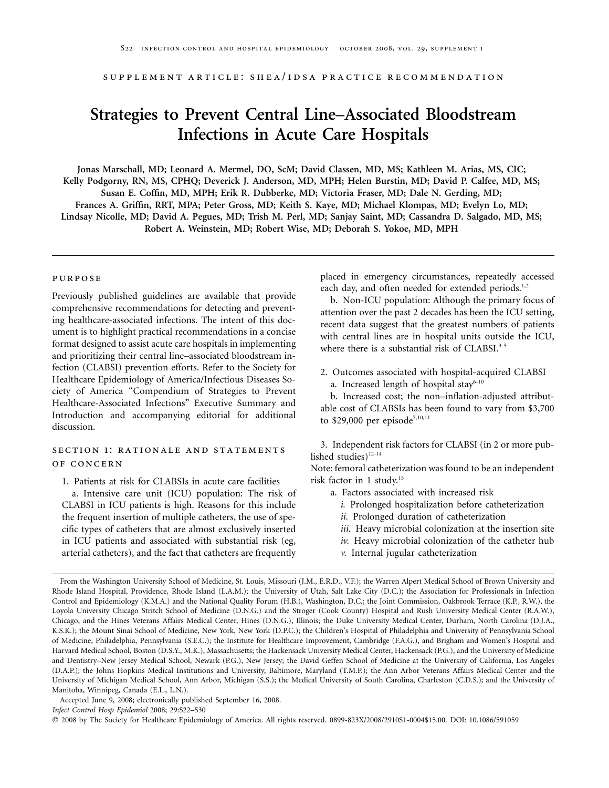supplement article: shea/idsa practice recommendation

# **Strategies to Prevent Central Line–Associated Bloodstream Infections in Acute Care Hospitals**

**Jonas Marschall, MD; Leonard A. Mermel, DO, ScM; David Classen, MD, MS; Kathleen M. Arias, MS, CIC; Kelly Podgorny, RN, MS, CPHQ; Deverick J. Anderson, MD, MPH; Helen Burstin, MD; David P. Calfee, MD, MS; Susan E. Coffin, MD, MPH; Erik R. Dubberke, MD; Victoria Fraser, MD; Dale N. Gerding, MD; Frances A. Griffin, RRT, MPA; Peter Gross, MD; Keith S. Kaye, MD; Michael Klompas, MD; Evelyn Lo, MD; Lindsay Nicolle, MD; David A. Pegues, MD; Trish M. Perl, MD; Sanjay Saint, MD; Cassandra D. Salgado, MD, MS; Robert A. Weinstein, MD; Robert Wise, MD; Deborah S. Yokoe, MD, MPH**

#### purpose

Previously published guidelines are available that provide comprehensive recommendations for detecting and preventing healthcare-associated infections. The intent of this document is to highlight practical recommendations in a concise format designed to assist acute care hospitals in implementing and prioritizing their central line–associated bloodstream infection (CLABSI) prevention efforts. Refer to the Society for Healthcare Epidemiology of America/Infectious Diseases Society of America "Compendium of Strategies to Prevent Healthcare-Associated Infections" Executive Summary and Introduction and accompanying editorial for additional discussion.

# section 1: rationale and statements of concern

1. Patients at risk for CLABSIs in acute care facilities a. Intensive care unit (ICU) population: The risk of CLABSI in ICU patients is high. Reasons for this include the frequent insertion of multiple catheters, the use of specific types of catheters that are almost exclusively inserted in ICU patients and associated with substantial risk (eg, arterial catheters), and the fact that catheters are frequently placed in emergency circumstances, repeatedly accessed each day, and often needed for extended periods.<sup>1,2</sup>

b. Non-ICU population: Although the primary focus of attention over the past 2 decades has been the ICU setting, recent data suggest that the greatest numbers of patients with central lines are in hospital units outside the ICU, where there is a substantial risk of CLABSI.<sup>3-5</sup>

- 2. Outcomes associated with hospital-acquired CLABSI
	- a. Increased length of hospital stay $6-10$

b. Increased cost; the non–inflation-adjusted attributable cost of CLABSIs has been found to vary from \$3,700 to  $$29,000$  per episode<sup>7,10,11</sup>

3. Independent risk factors for CLABSI (in 2 or more published studies)<sup>12-14</sup>

Note: femoral catheterization was found to be an independent risk factor in 1 study.15

a. Factors associated with increased risk

- *i.* Prolonged hospitalization before catheterization
- *ii.* Prolonged duration of catheterization
- *iii.* Heavy microbial colonization at the insertion site
- *iv.* Heavy microbial colonization of the catheter hub
- *v.* Internal jugular catheterization

Accepted June 9, 2008; electronically published September 16, 2008.

*Infect Control Hosp Epidemiol* 2008; 29:S22–S30

From the Washington University School of Medicine, St. Louis, Missouri (J.M., E.R.D., V.F.); the Warren Alpert Medical School of Brown University and Rhode Island Hospital, Providence, Rhode Island (L.A.M.); the University of Utah, Salt Lake City (D.C.); the Association for Professionals in Infection Control and Epidemiology (K.M.A.) and the National Quality Forum (H.B.), Washington, D.C.; the Joint Commission, Oakbrook Terrace (K.P., R.W.), the Loyola University Chicago Stritch School of Medicine (D.N.G.) and the Stroger (Cook County) Hospital and Rush University Medical Center (R.A.W.), Chicago, and the Hines Veterans Affairs Medical Center, Hines (D.N.G.), Illinois; the Duke University Medical Center, Durham, North Carolina (D.J.A., K.S.K.); the Mount Sinai School of Medicine, New York, New York (D.P.C.); the Children's Hospital of Philadelphia and University of Pennsylvania School of Medicine, Philadelphia, Pennsylvania (S.E.C.); the Institute for Healthcare Improvement, Cambridge (F.A.G.), and Brigham and Women's Hospital and Harvard Medical School, Boston (D.S.Y., M.K.), Massachusetts; the Hackensack University Medical Center, Hackensack (P.G.), and the University of Medicine and Dentistry–New Jersey Medical School, Newark (P.G.), New Jersey; the David Geffen School of Medicine at the University of California, Los Angeles (D.A.P.); the Johns Hopkins Medical Institutions and University, Baltimore, Maryland (T.M.P.); the Ann Arbor Veterans Affairs Medical Center and the University of Michigan Medical School, Ann Arbor, Michigan (S.S.); the Medical University of South Carolina, Charleston (C.D.S.); and the University of Manitoba, Winnipeg, Canada (E.L., L.N.).

2008 by The Society for Healthcare Epidemiology of America. All rights reserved. 0899-823X/2008/2910S1-0004\$15.00. DOI: 10.1086/591059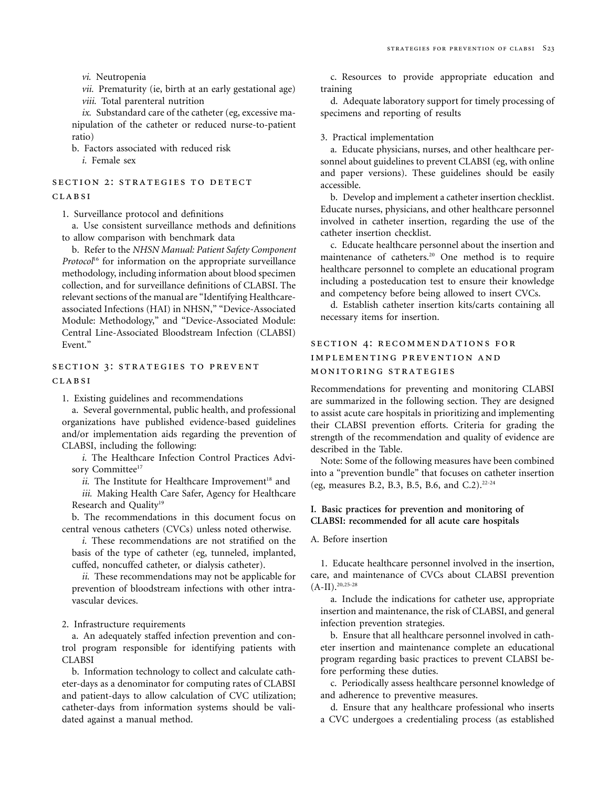*vi.* Neutropenia

*vii.* Prematurity (ie, birth at an early gestational age) *viii.* Total parenteral nutrition

*ix.* Substandard care of the catheter (eg, excessive manipulation of the catheter or reduced nurse-to-patient ratio)

b. Factors associated with reduced risk

*i.* Female sex

# section 2: strategies to detect

# **CLABSI**

1. Surveillance protocol and definitions

a. Use consistent surveillance methods and definitions to allow comparison with benchmark data

b. Refer to the *NHSN Manual: Patient Safety Component Protocol*<sup>16</sup> for information on the appropriate surveillance methodology, including information about blood specimen collection, and for surveillance definitions of CLABSI. The relevant sections of the manual are "Identifying Healthcareassociated Infections (HAI) in NHSN," "Device-Associated Module: Methodology," and "Device-Associated Module: Central Line-Associated Bloodstream Infection (CLABSI) Event."

# section 3: strategies to prevent **CLABSI**

1. Existing guidelines and recommendations

a. Several governmental, public health, and professional organizations have published evidence-based guidelines and/or implementation aids regarding the prevention of CLABSI, including the following:

*i.* The Healthcare Infection Control Practices Advisory Committee<sup>17</sup>

 $ii.$  The Institute for Healthcare Improvement<sup>18</sup> and

*iii.* Making Health Care Safer, Agency for Healthcare Research and Quality<sup>19</sup>

b. The recommendations in this document focus on central venous catheters (CVCs) unless noted otherwise.

*i.* These recommendations are not stratified on the basis of the type of catheter (eg, tunneled, implanted, cuffed, noncuffed catheter, or dialysis catheter).

*ii.* These recommendations may not be applicable for prevention of bloodstream infections with other intravascular devices.

## 2. Infrastructure requirements

a. An adequately staffed infection prevention and control program responsible for identifying patients with **CLABSI** 

b. Information technology to collect and calculate catheter-days as a denominator for computing rates of CLABSI and patient-days to allow calculation of CVC utilization; catheter-days from information systems should be validated against a manual method.

c. Resources to provide appropriate education and training

d. Adequate laboratory support for timely processing of specimens and reporting of results

#### 3. Practical implementation

a. Educate physicians, nurses, and other healthcare personnel about guidelines to prevent CLABSI (eg, with online and paper versions). These guidelines should be easily accessible.

b. Develop and implement a catheter insertion checklist. Educate nurses, physicians, and other healthcare personnel involved in catheter insertion, regarding the use of the catheter insertion checklist.

c. Educate healthcare personnel about the insertion and maintenance of catheters.<sup>20</sup> One method is to require healthcare personnel to complete an educational program including a posteducation test to ensure their knowledge and competency before being allowed to insert CVCs.

d. Establish catheter insertion kits/carts containing all necessary items for insertion.

# section 4: recommendations for implementing prevention and monitoring strategies

Recommendations for preventing and monitoring CLABSI are summarized in the following section. They are designed to assist acute care hospitals in prioritizing and implementing their CLABSI prevention efforts. Criteria for grading the strength of the recommendation and quality of evidence are described in the Table.

Note: Some of the following measures have been combined into a "prevention bundle" that focuses on catheter insertion (eg, measures B.2, B.3, B.5, B.6, and C.2).<sup>22-24</sup>

# **I. Basic practices for prevention and monitoring of CLABSI: recommended for all acute care hospitals**

### A. Before insertion

1. Educate healthcare personnel involved in the insertion, care, and maintenance of CVCs about CLABSI prevention  $(A-II).^{20,25-28}$ 

a. Include the indications for catheter use, appropriate insertion and maintenance, the risk of CLABSI, and general infection prevention strategies.

b. Ensure that all healthcare personnel involved in catheter insertion and maintenance complete an educational program regarding basic practices to prevent CLABSI before performing these duties.

c. Periodically assess healthcare personnel knowledge of and adherence to preventive measures.

d. Ensure that any healthcare professional who inserts a CVC undergoes a credentialing process (as established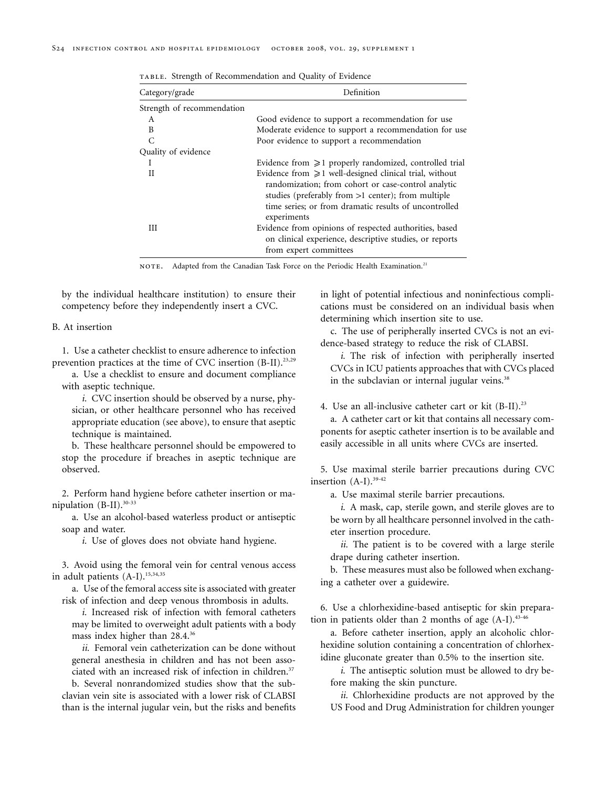| Category/grade             | Definition                                                                                                                                                                                                                                          |
|----------------------------|-----------------------------------------------------------------------------------------------------------------------------------------------------------------------------------------------------------------------------------------------------|
| Strength of recommendation |                                                                                                                                                                                                                                                     |
| A                          | Good evidence to support a recommendation for use                                                                                                                                                                                                   |
| B                          | Moderate evidence to support a recommendation for use                                                                                                                                                                                               |
| C                          | Poor evidence to support a recommendation                                                                                                                                                                                                           |
| Quality of evidence        |                                                                                                                                                                                                                                                     |
| Ι                          | Evidence from $\geq 1$ properly randomized, controlled trial                                                                                                                                                                                        |
| Н                          | Evidence from $\geq 1$ well-designed clinical trial, without<br>randomization; from cohort or case-control analytic<br>studies (preferably from $>1$ center); from multiple<br>time series; or from dramatic results of uncontrolled<br>experiments |
| Ш                          | Evidence from opinions of respected authorities, based<br>on clinical experience, descriptive studies, or reports<br>from expert committees                                                                                                         |

table. Strength of Recommendation and Quality of Evidence

NOTE. Adapted from the Canadian Task Force on the Periodic Health Examination.<sup>21</sup>

by the individual healthcare institution) to ensure their competency before they independently insert a CVC.

## B. At insertion

1. Use a catheter checklist to ensure adherence to infection prevention practices at the time of CVC insertion  $(B-II)$ .<sup>23,29</sup>

a. Use a checklist to ensure and document compliance with aseptic technique.

*i.* CVC insertion should be observed by a nurse, physician, or other healthcare personnel who has received appropriate education (see above), to ensure that aseptic technique is maintained.

b. These healthcare personnel should be empowered to stop the procedure if breaches in aseptic technique are observed.

2. Perform hand hygiene before catheter insertion or manipulation  $(B-II).$ <sup>30-33</sup>

a. Use an alcohol-based waterless product or antiseptic soap and water.

*i.* Use of gloves does not obviate hand hygiene.

3. Avoid using the femoral vein for central venous access in adult patients  $(A-I).$ <sup>15,34,35</sup>

a. Use of the femoral access site is associated with greater risk of infection and deep venous thrombosis in adults.

*i.* Increased risk of infection with femoral catheters may be limited to overweight adult patients with a body mass index higher than 28.4.<sup>36</sup>

*ii.* Femoral vein catheterization can be done without general anesthesia in children and has not been associated with an increased risk of infection in children.<sup>37</sup>

b. Several nonrandomized studies show that the subclavian vein site is associated with a lower risk of CLABSI than is the internal jugular vein, but the risks and benefits in light of potential infectious and noninfectious complications must be considered on an individual basis when determining which insertion site to use.

c. The use of peripherally inserted CVCs is not an evidence-based strategy to reduce the risk of CLABSI.

*i.* The risk of infection with peripherally inserted CVCs in ICU patients approaches that with CVCs placed in the subclavian or internal jugular veins. $38$ 

4. Use an all-inclusive catheter cart or kit  $(B-II).^{23}$ 

a. A catheter cart or kit that contains all necessary components for aseptic catheter insertion is to be available and easily accessible in all units where CVCs are inserted.

5. Use maximal sterile barrier precautions during CVC insertion  $(A-I).$ <sup>39-42</sup>

a. Use maximal sterile barrier precautions.

*i.* A mask, cap, sterile gown, and sterile gloves are to be worn by all healthcare personnel involved in the catheter insertion procedure.

*ii.* The patient is to be covered with a large sterile drape during catheter insertion.

b. These measures must also be followed when exchanging a catheter over a guidewire.

6. Use a chlorhexidine-based antiseptic for skin preparation in patients older than 2 months of age  $(A-I)$ .<sup>43-46</sup>

a. Before catheter insertion, apply an alcoholic chlorhexidine solution containing a concentration of chlorhexidine gluconate greater than 0.5% to the insertion site.

*i.* The antiseptic solution must be allowed to dry before making the skin puncture.

*ii.* Chlorhexidine products are not approved by the US Food and Drug Administration for children younger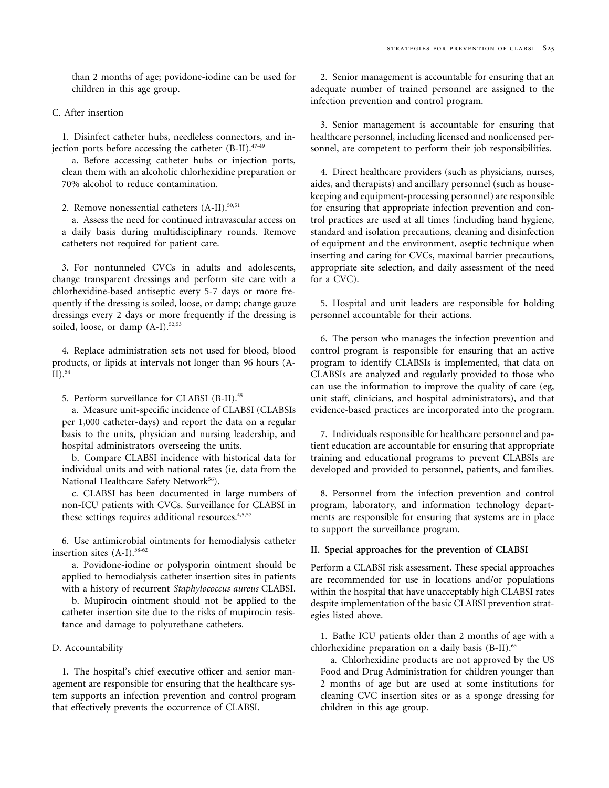than 2 months of age; povidone-iodine can be used for children in this age group.

## C. After insertion

1. Disinfect catheter hubs, needleless connectors, and injection ports before accessing the catheter  $(B-II)$ .<sup>47-49</sup>

a. Before accessing catheter hubs or injection ports, clean them with an alcoholic chlorhexidine preparation or 70% alcohol to reduce contamination.

2. Remove nonessential catheters (A-II).<sup>50,51</sup>

a. Assess the need for continued intravascular access on a daily basis during multidisciplinary rounds. Remove catheters not required for patient care.

3. For nontunneled CVCs in adults and adolescents, change transparent dressings and perform site care with a chlorhexidine-based antiseptic every 5-7 days or more frequently if the dressing is soiled, loose, or damp; change gauze dressings every 2 days or more frequently if the dressing is soiled, loose, or damp  $(A-I).$ <sup>52,53</sup>

4. Replace administration sets not used for blood, blood products, or lipids at intervals not longer than 96 hours (A- $II).<sup>54</sup>$ 

5. Perform surveillance for CLABSI (B-II).55

a. Measure unit-specific incidence of CLABSI (CLABSIs per 1,000 catheter-days) and report the data on a regular basis to the units, physician and nursing leadership, and hospital administrators overseeing the units.

b. Compare CLABSI incidence with historical data for individual units and with national rates (ie, data from the National Healthcare Safety Network<sup>56</sup>).

c. CLABSI has been documented in large numbers of non-ICU patients with CVCs. Surveillance for CLABSI in these settings requires additional resources.<sup>4,5,57</sup>

6. Use antimicrobial ointments for hemodialysis catheter insertion sites  $(A-I).$ <sup>58-62</sup>

a. Povidone-iodine or polysporin ointment should be applied to hemodialysis catheter insertion sites in patients with a history of recurrent *Staphylococcus aureus* CLABSI.

b. Mupirocin ointment should not be applied to the catheter insertion site due to the risks of mupirocin resistance and damage to polyurethane catheters.

#### D. Accountability

1. The hospital's chief executive officer and senior management are responsible for ensuring that the healthcare system supports an infection prevention and control program that effectively prevents the occurrence of CLABSI.

2. Senior management is accountable for ensuring that an adequate number of trained personnel are assigned to the infection prevention and control program.

3. Senior management is accountable for ensuring that healthcare personnel, including licensed and nonlicensed personnel, are competent to perform their job responsibilities.

4. Direct healthcare providers (such as physicians, nurses, aides, and therapists) and ancillary personnel (such as housekeeping and equipment-processing personnel) are responsible for ensuring that appropriate infection prevention and control practices are used at all times (including hand hygiene, standard and isolation precautions, cleaning and disinfection of equipment and the environment, aseptic technique when inserting and caring for CVCs, maximal barrier precautions, appropriate site selection, and daily assessment of the need for a CVC).

5. Hospital and unit leaders are responsible for holding personnel accountable for their actions.

6. The person who manages the infection prevention and control program is responsible for ensuring that an active program to identify CLABSIs is implemented, that data on CLABSIs are analyzed and regularly provided to those who can use the information to improve the quality of care (eg, unit staff, clinicians, and hospital administrators), and that evidence-based practices are incorporated into the program.

7. Individuals responsible for healthcare personnel and patient education are accountable for ensuring that appropriate training and educational programs to prevent CLABSIs are developed and provided to personnel, patients, and families.

8. Personnel from the infection prevention and control program, laboratory, and information technology departments are responsible for ensuring that systems are in place to support the surveillance program.

### **II. Special approaches for the prevention of CLABSI**

Perform a CLABSI risk assessment. These special approaches are recommended for use in locations and/or populations within the hospital that have unacceptably high CLABSI rates despite implementation of the basic CLABSI prevention strategies listed above.

1. Bathe ICU patients older than 2 months of age with a chlorhexidine preparation on a daily basis (B-II).<sup>63</sup>

a. Chlorhexidine products are not approved by the US Food and Drug Administration for children younger than 2 months of age but are used at some institutions for cleaning CVC insertion sites or as a sponge dressing for children in this age group.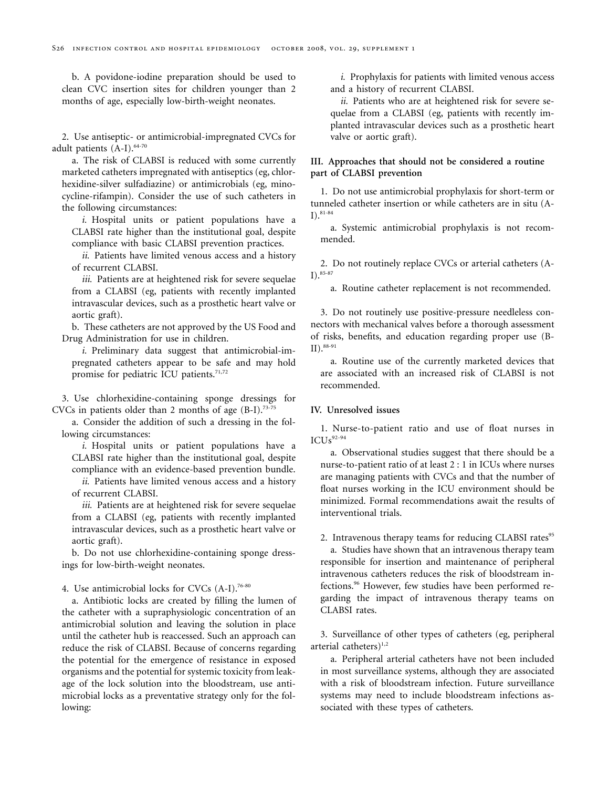b. A povidone-iodine preparation should be used to clean CVC insertion sites for children younger than 2 months of age, especially low-birth-weight neonates.

2. Use antiseptic- or antimicrobial-impregnated CVCs for adult patients (A-I).<sup>64-70</sup>

a. The risk of CLABSI is reduced with some currently marketed catheters impregnated with antiseptics (eg, chlorhexidine-silver sulfadiazine) or antimicrobials (eg, minocycline-rifampin). Consider the use of such catheters in the following circumstances:

*i.* Hospital units or patient populations have a CLABSI rate higher than the institutional goal, despite compliance with basic CLABSI prevention practices.

*ii.* Patients have limited venous access and a history of recurrent CLABSI.

*iii.* Patients are at heightened risk for severe sequelae from a CLABSI (eg, patients with recently implanted intravascular devices, such as a prosthetic heart valve or aortic graft).

b. These catheters are not approved by the US Food and Drug Administration for use in children.

*i.* Preliminary data suggest that antimicrobial-impregnated catheters appear to be safe and may hold promise for pediatric ICU patients.<sup>71,72</sup>

3. Use chlorhexidine-containing sponge dressings for CVCs in patients older than 2 months of age  $(B-I)$ .<sup>73-75</sup>

a. Consider the addition of such a dressing in the following circumstances:

*i.* Hospital units or patient populations have a CLABSI rate higher than the institutional goal, despite compliance with an evidence-based prevention bundle.

*ii.* Patients have limited venous access and a history of recurrent CLABSI.

*iii.* Patients are at heightened risk for severe sequelae from a CLABSI (eg, patients with recently implanted intravascular devices, such as a prosthetic heart valve or aortic graft).

b. Do not use chlorhexidine-containing sponge dressings for low-birth-weight neonates.

4. Use antimicrobial locks for CVCs (A-I).<sup>76-80</sup>

a. Antibiotic locks are created by filling the lumen of the catheter with a supraphysiologic concentration of an antimicrobial solution and leaving the solution in place until the catheter hub is reaccessed. Such an approach can reduce the risk of CLABSI. Because of concerns regarding the potential for the emergence of resistance in exposed organisms and the potential for systemic toxicity from leakage of the lock solution into the bloodstream, use antimicrobial locks as a preventative strategy only for the following:

*i.* Prophylaxis for patients with limited venous access and a history of recurrent CLABSI.

*ii.* Patients who are at heightened risk for severe sequelae from a CLABSI (eg, patients with recently implanted intravascular devices such as a prosthetic heart valve or aortic graft).

## **III. Approaches that should not be considered a routine part of CLABSI prevention**

1. Do not use antimicrobial prophylaxis for short-term or tunneled catheter insertion or while catheters are in situ (A-I).81-84

a. Systemic antimicrobial prophylaxis is not recommended.

2. Do not routinely replace CVCs or arterial catheters (A-I).85-87

a. Routine catheter replacement is not recommended.

3. Do not routinely use positive-pressure needleless connectors with mechanical valves before a thorough assessment of risks, benefits, and education regarding proper use (B-II).88-91

a. Routine use of the currently marketed devices that are associated with an increased risk of CLABSI is not recommended.

#### **IV. Unresolved issues**

1. Nurse-to-patient ratio and use of float nurses in  $ICUs<sup>92-94</sup>$ 

a. Observational studies suggest that there should be a nurse-to-patient ratio of at least 2 : 1 in ICUs where nurses are managing patients with CVCs and that the number of float nurses working in the ICU environment should be minimized. Formal recommendations await the results of interventional trials.

2. Intravenous therapy teams for reducing CLABSI rates<sup>95</sup>

a. Studies have shown that an intravenous therapy team responsible for insertion and maintenance of peripheral intravenous catheters reduces the risk of bloodstream infections.<sup>96</sup> However, few studies have been performed regarding the impact of intravenous therapy teams on CLABSI rates.

3. Surveillance of other types of catheters (eg, peripheral arterial catheters) $1,2$ 

a. Peripheral arterial catheters have not been included in most surveillance systems, although they are associated with a risk of bloodstream infection. Future surveillance systems may need to include bloodstream infections associated with these types of catheters.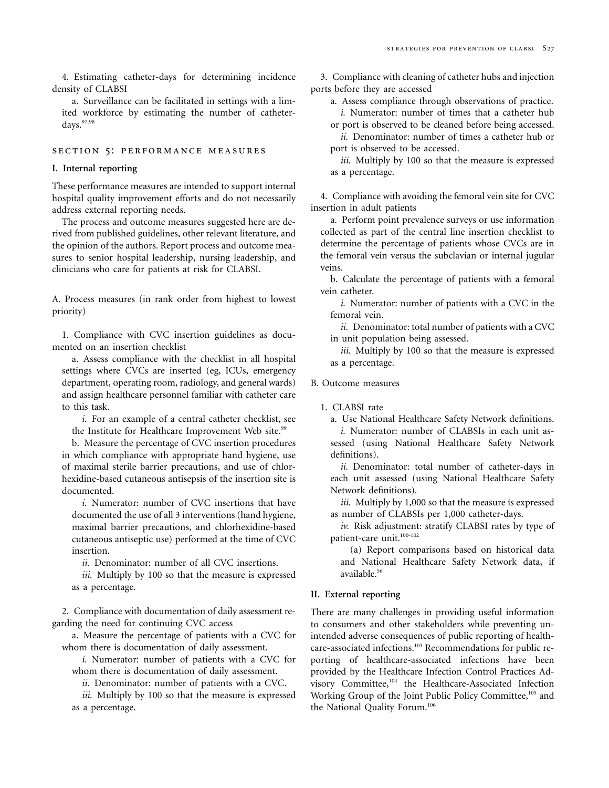4. Estimating catheter-days for determining incidence density of CLABSI

a. Surveillance can be facilitated in settings with a limited workforce by estimating the number of catheterdays.<sup>97,98</sup>

#### section 5: performance measures

## **I. Internal reporting**

These performance measures are intended to support internal hospital quality improvement efforts and do not necessarily address external reporting needs.

The process and outcome measures suggested here are derived from published guidelines, other relevant literature, and the opinion of the authors. Report process and outcome measures to senior hospital leadership, nursing leadership, and clinicians who care for patients at risk for CLABSI.

A. Process measures (in rank order from highest to lowest priority)

1. Compliance with CVC insertion guidelines as documented on an insertion checklist

a. Assess compliance with the checklist in all hospital settings where CVCs are inserted (eg, ICUs, emergency department, operating room, radiology, and general wards) and assign healthcare personnel familiar with catheter care to this task.

*i.* For an example of a central catheter checklist, see the Institute for Healthcare Improvement Web site.<sup>99</sup>

b. Measure the percentage of CVC insertion procedures in which compliance with appropriate hand hygiene, use of maximal sterile barrier precautions, and use of chlorhexidine-based cutaneous antisepsis of the insertion site is documented.

*i.* Numerator: number of CVC insertions that have documented the use of all 3 interventions (hand hygiene, maximal barrier precautions, and chlorhexidine-based cutaneous antiseptic use) performed at the time of CVC insertion.

*ii.* Denominator: number of all CVC insertions.

*iii.* Multiply by 100 so that the measure is expressed as a percentage.

2. Compliance with documentation of daily assessment regarding the need for continuing CVC access

a. Measure the percentage of patients with a CVC for whom there is documentation of daily assessment.

*i.* Numerator: number of patients with a CVC for whom there is documentation of daily assessment.

*ii.* Denominator: number of patients with a CVC.

*iii.* Multiply by 100 so that the measure is expressed as a percentage.

3. Compliance with cleaning of catheter hubs and injection ports before they are accessed

a. Assess compliance through observations of practice. *i.* Numerator: number of times that a catheter hub

or port is observed to be cleaned before being accessed.

*ii.* Denominator: number of times a catheter hub or port is observed to be accessed.

*iii.* Multiply by 100 so that the measure is expressed as a percentage.

4. Compliance with avoiding the femoral vein site for CVC insertion in adult patients

a. Perform point prevalence surveys or use information collected as part of the central line insertion checklist to determine the percentage of patients whose CVCs are in the femoral vein versus the subclavian or internal jugular veins.

b. Calculate the percentage of patients with a femoral vein catheter.

*i.* Numerator: number of patients with a CVC in the femoral vein.

*ii.* Denominator: total number of patients with a CVC in unit population being assessed.

*iii.* Multiply by 100 so that the measure is expressed as a percentage.

B. Outcome measures

#### 1. CLABSI rate

a. Use National Healthcare Safety Network definitions.

*i.* Numerator: number of CLABSIs in each unit assessed (using National Healthcare Safety Network definitions).

*ii.* Denominator: total number of catheter-days in each unit assessed (using National Healthcare Safety Network definitions).

*iii.* Multiply by 1,000 so that the measure is expressed as number of CLABSIs per 1,000 catheter-days.

*iv.* Risk adjustment: stratify CLABSI rates by type of patient-care unit.<sup>100-102</sup>

(a) Report comparisons based on historical data and National Healthcare Safety Network data, if available.<sup>56</sup>

#### **II. External reporting**

There are many challenges in providing useful information to consumers and other stakeholders while preventing unintended adverse consequences of public reporting of healthcare-associated infections.103 Recommendations for public reporting of healthcare-associated infections have been provided by the Healthcare Infection Control Practices Advisory Committee,104 the Healthcare-Associated Infection Working Group of the Joint Public Policy Committee,<sup>105</sup> and the National Quality Forum.<sup>106</sup>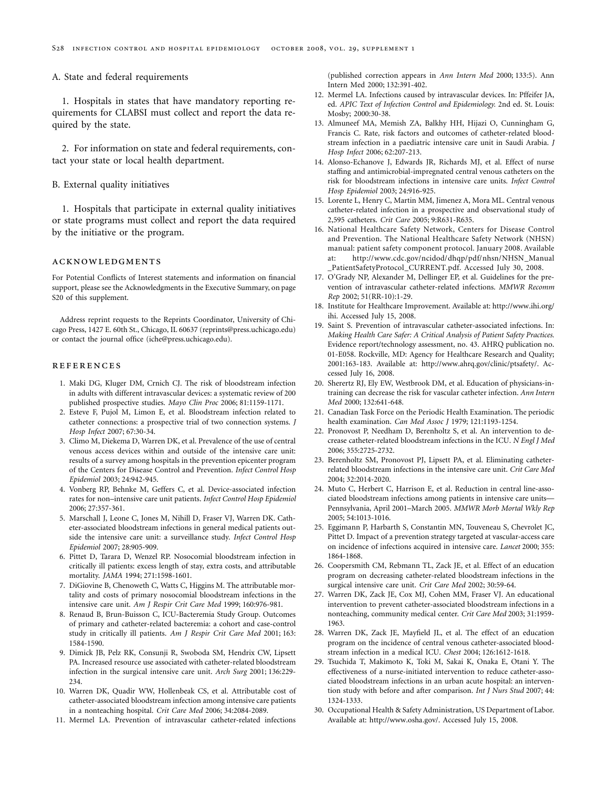A. State and federal requirements

1. Hospitals in states that have mandatory reporting requirements for CLABSI must collect and report the data required by the state.

2. For information on state and federal requirements, contact your state or local health department.

#### B. External quality initiatives

1. Hospitals that participate in external quality initiatives or state programs must collect and report the data required by the initiative or the program.

#### acknowledgments

For Potential Conflicts of Interest statements and information on financial support, please see the Acknowledgments in the Executive Summary, on page S20 of this supplement.

Address reprint requests to the Reprints Coordinator, University of Chicago Press, 1427 E. 60th St., Chicago, IL 60637 (reprints@press.uchicago.edu) or contact the journal office (iche@press.uchicago.edu).

### references

- 1. Maki DG, Kluger DM, Crnich CJ. The risk of bloodstream infection in adults with different intravascular devices: a systematic review of 200 published prospective studies. *Mayo Clin Proc* 2006; 81:1159-1171.
- 2. Esteve F, Pujol M, Limon E, et al. Bloodstream infection related to catheter connections: a prospective trial of two connection systems. *J Hosp Infect* 2007; 67:30-34.
- 3. Climo M, Diekema D, Warren DK, et al. Prevalence of the use of central venous access devices within and outside of the intensive care unit: results of a survey among hospitals in the prevention epicenter program of the Centers for Disease Control and Prevention. *Infect Control Hosp Epidemiol* 2003; 24:942-945.
- 4. Vonberg RP, Behnke M, Geffers C, et al. Device-associated infection rates for non–intensive care unit patients. *Infect Control Hosp Epidemiol* 2006; 27:357-361.
- 5. Marschall J, Leone C, Jones M, Nihill D, Fraser VJ, Warren DK. Catheter-associated bloodstream infections in general medical patients outside the intensive care unit: a surveillance study. *Infect Control Hosp Epidemiol* 2007; 28:905-909.
- 6. Pittet D, Tarara D, Wenzel RP. Nosocomial bloodstream infection in critically ill patients: excess length of stay, extra costs, and attributable mortality. *JAMA* 1994; 271:1598-1601.
- 7. DiGiovine B, Chenoweth C, Watts C, Higgins M. The attributable mortality and costs of primary nosocomial bloodstream infections in the intensive care unit. *Am J Respir Crit Care Med* 1999; 160:976-981.
- 8. Renaud B, Brun-Buisson C, ICU-Bacteremia Study Group. Outcomes of primary and catheter-related bacteremia: a cohort and case-control study in critically ill patients. *Am J Respir Crit Care Med* 2001; 163: 1584-1590.
- 9. Dimick JB, Pelz RK, Consunji R, Swoboda SM, Hendrix CW, Lipsett PA. Increased resource use associated with catheter-related bloodstream infection in the surgical intensive care unit. *Arch Surg* 2001; 136:229- 234.
- 10. Warren DK, Quadir WW, Hollenbeak CS, et al. Attributable cost of catheter-associated bloodstream infection among intensive care patients in a nonteaching hospital. *Crit Care Med* 2006; 34:2084-2089.
- 11. Mermel LA. Prevention of intravascular catheter-related infections

(published correction appears in *Ann Intern Med* 2000; 133:5). Ann Intern Med 2000; 132:391-402.

- 12. Mermel LA. Infections caused by intravascular devices. In: Pffeifer JA, ed. *APIC Text of Infection Control and Epidemiology.* 2nd ed. St. Louis: Mosby; 2000:30-38.
- 13. Almuneef MA, Memish ZA, Balkhy HH, Hijazi O, Cunningham G, Francis C. Rate, risk factors and outcomes of catheter-related bloodstream infection in a paediatric intensive care unit in Saudi Arabia. *J Hosp Infect* 2006; 62:207-213.
- 14. Alonso-Echanove J, Edwards JR, Richards MJ, et al. Effect of nurse staffing and antimicrobial-impregnated central venous catheters on the risk for bloodstream infections in intensive care units. *Infect Control Hosp Epidemiol* 2003; 24:916-925.
- 15. Lorente L, Henry C, Martin MM, Jimenez A, Mora ML. Central venous catheter-related infection in a prospective and observational study of 2,595 catheters. *Crit Care* 2005; 9:R631-R635.
- 16. National Healthcare Safety Network, Centers for Disease Control and Prevention. The National Healthcare Safety Network (NHSN) manual: patient safety component protocol. January 2008. Available at: http://www.cdc.gov/ncidod/dhqp/pdf/nhsn/NHSN\_Manual \_PatientSafetyProtocol\_CURRENT.pdf. Accessed July 30, 2008.
- 17. O'Grady NP, Alexander M, Dellinger EP, et al. Guidelines for the prevention of intravascular catheter-related infections. *MMWR Recomm Rep* 2002; 51(RR-10):1-29.
- 18. Institute for Healthcare Improvement. Available at: http://www.ihi.org/ ihi. Accessed July 15, 2008.
- 19. Saint S. Prevention of intravascular catheter-associated infections. In: *Making Health Care Safer: A Critical Analysis of Patient Safety Practices.* Evidence report/technology assessment, no. 43. AHRQ publication no. 01-E058. Rockville, MD: Agency for Healthcare Research and Quality; 2001:163-183. Available at: http://www.ahrq.gov/clinic/ptsafety/. Accessed July 16, 2008.
- 20. Sherertz RJ, Ely EW, Westbrook DM, et al. Education of physicians-intraining can decrease the risk for vascular catheter infection. *Ann Intern Med* 2000; 132:641-648.
- 21. Canadian Task Force on the Periodic Health Examination. The periodic health examination. *Can Med Assoc J* 1979; 121:1193-1254.
- 22. Pronovost P, Needham D, Berenholtz S, et al. An intervention to decrease catheter-related bloodstream infections in the ICU. *N Engl J Med* 2006; 355:2725-2732.
- 23. Berenholtz SM, Pronovost PJ, Lipsett PA, et al. Eliminating catheterrelated bloodstream infections in the intensive care unit. *Crit Care Med* 2004; 32:2014-2020.
- 24. Muto C, Herbert C, Harrison E, et al. Reduction in central line-associated bloodstream infections among patients in intensive care units— Pennsylvania, April 2001–March 2005. *MMWR Morb Mortal Wkly Rep* 2005; 54:1013-1016.
- 25. Eggimann P, Harbarth S, Constantin MN, Touveneau S, Chevrolet JC, Pittet D. Impact of a prevention strategy targeted at vascular-access care on incidence of infections acquired in intensive care. *Lancet* 2000; 355: 1864-1868.
- 26. Coopersmith CM, Rebmann TL, Zack JE, et al. Effect of an education program on decreasing catheter-related bloodstream infections in the surgical intensive care unit. *Crit Care Med* 2002; 30:59-64.
- 27. Warren DK, Zack JE, Cox MJ, Cohen MM, Fraser VJ. An educational intervention to prevent catheter-associated bloodstream infections in a nonteaching, community medical center. *Crit Care Med* 2003; 31:1959- 1963.
- 28. Warren DK, Zack JE, Mayfield JL, et al. The effect of an education program on the incidence of central venous catheter-associated bloodstream infection in a medical ICU. *Chest* 2004; 126:1612-1618.
- 29. Tsuchida T, Makimoto K, Toki M, Sakai K, Onaka E, Otani Y. The effectiveness of a nurse-initiated intervention to reduce catheter-associated bloodstream infections in an urban acute hospital: an intervention study with before and after comparison. *Int J Nurs Stud* 2007; 44: 1324-1333.
- 30. Occupational Health & Safety Administration, US Department of Labor. Available at: http://www.osha.gov/. Accessed July 15, 2008.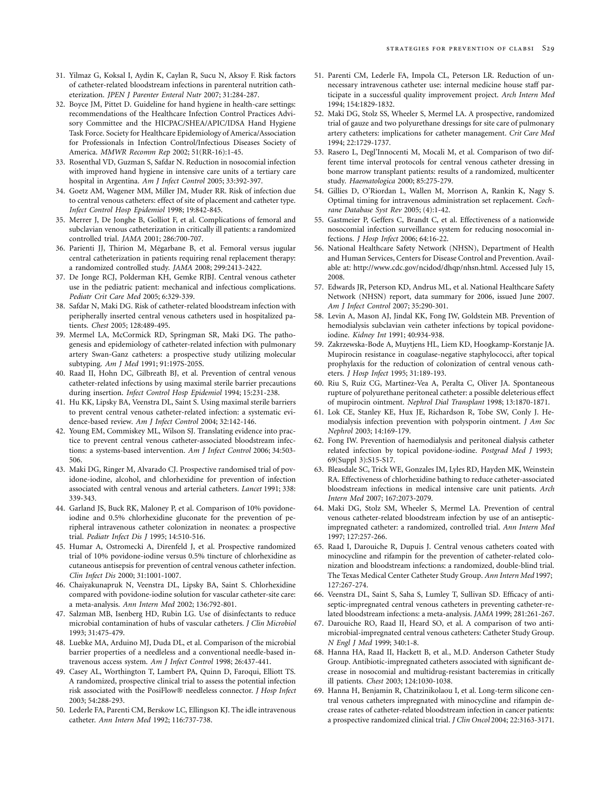- 31. Yilmaz G, Koksal I, Aydin K, Caylan R, Sucu N, Aksoy F. Risk factors of catheter-related bloodstream infections in parenteral nutrition catheterization. *JPEN J Parenter Enteral Nutr* 2007; 31:284-287.
- 32. Boyce JM, Pittet D. Guideline for hand hygiene in health-care settings: recommendations of the Healthcare Infection Control Practices Advisory Committee and the HICPAC/SHEA/APIC/IDSA Hand Hygiene Task Force. Society for Healthcare Epidemiology of America/Association for Professionals in Infection Control/Infectious Diseases Society of America. *MMWR Recomm Rep* 2002; 51(RR-16):1-45.
- 33. Rosenthal VD, Guzman S, Safdar N. Reduction in nosocomial infection with improved hand hygiene in intensive care units of a tertiary care hospital in Argentina. *Am J Infect Control* 2005; 33:392-397.
- 34. Goetz AM, Wagener MM, Miller JM, Muder RR. Risk of infection due to central venous catheters: effect of site of placement and catheter type. *Infect Control Hosp Epidemiol* 1998; 19:842-845.
- 35. Merrer J, De Jonghe B, Golliot F, et al. Complications of femoral and subclavian venous catheterization in critically ill patients: a randomized controlled trial. *JAMA* 2001; 286:700-707.
- 36. Parienti JJ, Thirion M, Mégarbane B, et al. Femoral versus jugular central catheterization in patients requiring renal replacement therapy: a randomized controlled study. *JAMA* 2008; 299:2413-2422.
- 37. De Jonge RCJ, Polderman KH, Gemke RJBJ. Central venous catheter use in the pediatric patient: mechanical and infectious complications. *Pediatr Crit Care Med* 2005; 6:329-339.
- 38. Safdar N, Maki DG. Risk of catheter-related bloodstream infection with peripherally inserted central venous catheters used in hospitalized patients. *Chest* 2005; 128:489-495.
- 39. Mermel LA, McCormick RD, Springman SR, Maki DG. The pathogenesis and epidemiology of catheter-related infection with pulmonary artery Swan-Ganz catheters: a prospective study utilizing molecular subtyping. *Am J Med* 1991; 91:197S-205S.
- 40. Raad II, Hohn DC, Gilbreath BJ, et al. Prevention of central venous catheter-related infections by using maximal sterile barrier precautions during insertion. *Infect Control Hosp Epidemiol* 1994; 15:231-238.
- 41. Hu KK, Lipsky BA, Veenstra DL, Saint S. Using maximal sterile barriers to prevent central venous catheter-related infection: a systematic evidence-based review. *Am J Infect Control* 2004; 32:142-146.
- 42. Young EM, Commiskey ML, Wilson SJ. Translating evidence into practice to prevent central venous catheter-associated bloodstream infections: a systems-based intervention. *Am J Infect Control* 2006; 34:503- 506.
- 43. Maki DG, Ringer M, Alvarado CJ. Prospective randomised trial of povidone-iodine, alcohol, and chlorhexidine for prevention of infection associated with central venous and arterial catheters. *Lancet* 1991; 338: 339-343.
- 44. Garland JS, Buck RK, Maloney P, et al. Comparison of 10% povidoneiodine and 0.5% chlorhexidine gluconate for the prevention of peripheral intravenous catheter colonization in neonates: a prospective trial. *Pediatr Infect Dis J* 1995; 14:510-516.
- 45. Humar A, Ostromecki A, Direnfeld J, et al. Prospective randomized trial of 10% povidone-iodine versus 0.5% tincture of chlorhexidine as cutaneous antisepsis for prevention of central venous catheter infection. *Clin Infect Dis* 2000; 31:1001-1007.
- 46. Chaiyakunapruk N, Veenstra DL, Lipsky BA, Saint S. Chlorhexidine compared with povidone-iodine solution for vascular catheter-site care: a meta-analysis. *Ann Intern Med* 2002; 136:792-801.
- 47. Salzman MB, Isenberg HD, Rubin LG. Use of disinfectants to reduce microbial contamination of hubs of vascular catheters. *J Clin Microbiol* 1993; 31:475-479.
- 48. Luebke MA, Arduino MJ, Duda DL, et al. Comparison of the microbial barrier properties of a needleless and a conventional needle-based intravenous access system. *Am J Infect Control* 1998; 26:437-441.
- 49. Casey AL, Worthington T, Lambert PA, Quinn D, Faroqui, Elliott TS. A randomized, prospective clinical trial to assess the potential infection risk associated with the PosiFlow- needleless connector. *J Hosp Infect* 2003; 54:288-293.
- 50. Lederle FA, Parenti CM, Berskow LC, Ellingson KJ. The idle intravenous catheter. *Ann Intern Med* 1992; 116:737-738.
- 51. Parenti CM, Lederle FA, Impola CL, Peterson LR. Reduction of unnecessary intravenous catheter use: internal medicine house staff participate in a successful quality improvement project. *Arch Intern Med* 1994; 154:1829-1832.
- 52. Maki DG, Stolz SS, Wheeler S, Mermel LA. A prospective, randomized trial of gauze and two polyurethane dressings for site care of pulmonary artery catheters: implications for catheter management. *Crit Care Med* 1994; 22:1729-1737.
- 53. Rasero L, Degl'Innocenti M, Mocali M, et al. Comparison of two different time interval protocols for central venous catheter dressing in bone marrow transplant patients: results of a randomized, multicenter study. *Haematologica* 2000; 85:275-279.
- 54. Gillies D, O'Riordan L, Wallen M, Morrison A, Rankin K, Nagy S. Optimal timing for intravenous administration set replacement. *Cochrane Database Syst Rev* 2005; (4):1-42.
- 55. Gastmeier P, Geffers C, Brandt C, et al. Effectiveness of a nationwide nosocomial infection surveillance system for reducing nosocomial infections. *J Hosp Infect* 2006; 64:16-22.
- 56. National Healthcare Safety Network (NHSN), Department of Health and Human Services, Centers for Disease Control and Prevention. Available at: http://www.cdc.gov/ncidod/dhqp/nhsn.html. Accessed July 15, 2008.
- 57. Edwards JR, Peterson KD, Andrus ML, et al. National Healthcare Safety Network (NHSN) report, data summary for 2006, issued June 2007. *Am J Infect Control* 2007; 35:290-301.
- 58. Levin A, Mason AJ, Jindal KK, Fong IW, Goldstein MB. Prevention of hemodialysis subclavian vein catheter infections by topical povidoneiodine. *Kidney Int* 1991; 40:934-938.
- 59. Zakrzewska-Bode A, Muytjens HL, Liem KD, Hoogkamp-Korstanje JA. Mupirocin resistance in coagulase-negative staphylococci, after topical prophylaxis for the reduction of colonization of central venous catheters. *J Hosp Infect* 1995; 31:189-193.
- 60. Riu S, Ruiz CG, Martinez-Vea A, Peralta C, Oliver JA. Spontaneous rupture of polyurethane peritoneal catheter: a possible deleterious effect of mupirocin ointment. *Nephrol Dial Transplant* 1998; 13:1870-1871.
- 61. Lok CE, Stanley KE, Hux JE, Richardson R, Tobe SW, Conly J. Hemodialysis infection prevention with polysporin ointment. *J Am Soc Nephrol* 2003; 14:169-179.
- 62. Fong IW. Prevention of haemodialysis and peritoneal dialysis catheter related infection by topical povidone-iodine. *Postgrad Med J* 1993; 69(Suppl 3):S15-S17.
- 63. Bleasdale SC, Trick WE, Gonzales IM, Lyles RD, Hayden MK, Weinstein RA. Effectiveness of chlorhexidine bathing to reduce catheter-associated bloodstream infections in medical intensive care unit patients. *Arch Intern Med* 2007; 167:2073-2079.
- 64. Maki DG, Stolz SM, Wheeler S, Mermel LA. Prevention of central venous catheter-related bloodstream infection by use of an antisepticimpregnated catheter: a randomized, controlled trial. *Ann Intern Med* 1997; 127:257-266.
- 65. Raad I, Darouiche R, Dupuis J. Central venous catheters coated with minocycline and rifampin for the prevention of catheter-related colonization and bloodstream infections: a randomized, double-blind trial. The Texas Medical Center Catheter Study Group. *Ann Intern Med* 1997; 127:267-274.
- 66. Veenstra DL, Saint S, Saha S, Lumley T, Sullivan SD. Efficacy of antiseptic-impregnated central venous catheters in preventing catheter-related bloodstream infections: a meta-analysis. *JAMA* 1999; 281:261-267.
- 67. Darouiche RO, Raad II, Heard SO, et al. A comparison of two antimicrobial-impregnated central venous catheters: Catheter Study Group. *N Engl J Med* 1999; 340:1-8.
- 68. Hanna HA, Raad II, Hackett B, et al., M.D. Anderson Catheter Study Group. Antibiotic-impregnated catheters associated with significant decrease in nosocomial and multidrug-resistant bacteremias in critically ill patients. *Chest* 2003; 124:1030-1038.
- 69. Hanna H, Benjamin R, Chatzinikolaou I, et al. Long-term silicone central venous catheters impregnated with minocycline and rifampin decrease rates of catheter-related bloodstream infection in cancer patients: a prospective randomized clinical trial. *J Clin Oncol* 2004; 22:3163-3171.